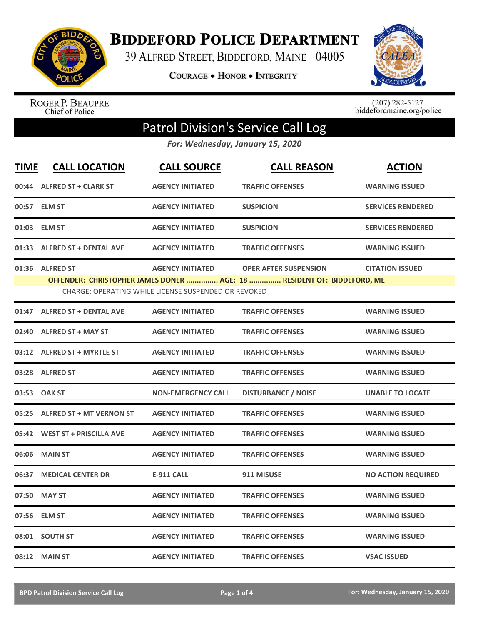

**BIDDEFORD POLICE DEPARTMENT** 

39 ALFRED STREET, BIDDEFORD, MAINE 04005

**COURAGE . HONOR . INTEGRITY** 



ROGER P. BEAUPRE<br>Chief of Police

 $(207)$  282-5127<br>biddefordmaine.org/police

## Patrol Division's Service Call Log

*For: Wednesday, January 15, 2020*

| <b>TIME</b> | <b>CALL LOCATION</b>            | <b>CALL SOURCE</b>                                                              | <b>CALL REASON</b>                                                                                     | <b>ACTION</b>             |
|-------------|---------------------------------|---------------------------------------------------------------------------------|--------------------------------------------------------------------------------------------------------|---------------------------|
|             | 00:44 ALFRED ST + CLARK ST      | <b>AGENCY INITIATED</b>                                                         | <b>TRAFFIC OFFENSES</b>                                                                                | <b>WARNING ISSUED</b>     |
|             | 00:57 ELM ST                    | <b>AGENCY INITIATED</b>                                                         | <b>SUSPICION</b>                                                                                       | <b>SERVICES RENDERED</b>  |
|             | 01:03 ELM ST                    | <b>AGENCY INITIATED</b>                                                         | <b>SUSPICION</b>                                                                                       | <b>SERVICES RENDERED</b>  |
|             | 01:33 ALFRED ST + DENTAL AVE    | <b>AGENCY INITIATED</b>                                                         | <b>TRAFFIC OFFENSES</b>                                                                                | <b>WARNING ISSUED</b>     |
|             | 01:36 ALFRED ST                 | <b>AGENCY INITIATED</b><br>CHARGE: OPERATING WHILE LICENSE SUSPENDED OR REVOKED | <b>OPER AFTER SUSPENSION</b><br>OFFENDER: CHRISTOPHER JAMES DONER  AGE: 18  RESIDENT OF: BIDDEFORD, ME | <b>CITATION ISSUED</b>    |
|             | 01:47 ALFRED ST + DENTAL AVE    | <b>AGENCY INITIATED</b>                                                         | <b>TRAFFIC OFFENSES</b>                                                                                | <b>WARNING ISSUED</b>     |
|             | 02:40 ALFRED ST + MAY ST        | <b>AGENCY INITIATED</b>                                                         | <b>TRAFFIC OFFENSES</b>                                                                                | <b>WARNING ISSUED</b>     |
|             | 03:12 ALFRED ST + MYRTLE ST     | <b>AGENCY INITIATED</b>                                                         | <b>TRAFFIC OFFENSES</b>                                                                                | <b>WARNING ISSUED</b>     |
|             | 03:28 ALFRED ST                 | <b>AGENCY INITIATED</b>                                                         | <b>TRAFFIC OFFENSES</b>                                                                                | <b>WARNING ISSUED</b>     |
|             | 03:53 OAK ST                    | <b>NON-EMERGENCY CALL</b>                                                       | <b>DISTURBANCE / NOISE</b>                                                                             | <b>UNABLE TO LOCATE</b>   |
| 05:25       | <b>ALFRED ST + MT VERNON ST</b> | <b>AGENCY INITIATED</b>                                                         | <b>TRAFFIC OFFENSES</b>                                                                                | <b>WARNING ISSUED</b>     |
|             | 05:42 WEST ST + PRISCILLA AVE   | <b>AGENCY INITIATED</b>                                                         | <b>TRAFFIC OFFENSES</b>                                                                                | <b>WARNING ISSUED</b>     |
| 06:06       | <b>MAIN ST</b>                  | <b>AGENCY INITIATED</b>                                                         | <b>TRAFFIC OFFENSES</b>                                                                                | <b>WARNING ISSUED</b>     |
| 06:37       | <b>MEDICAL CENTER DR</b>        | <b>E-911 CALL</b>                                                               | 911 MISUSE                                                                                             | <b>NO ACTION REQUIRED</b> |
| 07:50       | <b>MAY ST</b>                   | <b>AGENCY INITIATED</b>                                                         | <b>TRAFFIC OFFENSES</b>                                                                                | <b>WARNING ISSUED</b>     |
|             | 07:56 ELM ST                    | <b>AGENCY INITIATED</b>                                                         | <b>TRAFFIC OFFENSES</b>                                                                                | <b>WARNING ISSUED</b>     |
|             | 08:01 SOUTH ST                  | <b>AGENCY INITIATED</b>                                                         | <b>TRAFFIC OFFENSES</b>                                                                                | <b>WARNING ISSUED</b>     |
|             | 08:12 MAIN ST                   | <b>AGENCY INITIATED</b>                                                         | <b>TRAFFIC OFFENSES</b>                                                                                | <b>VSAC ISSUED</b>        |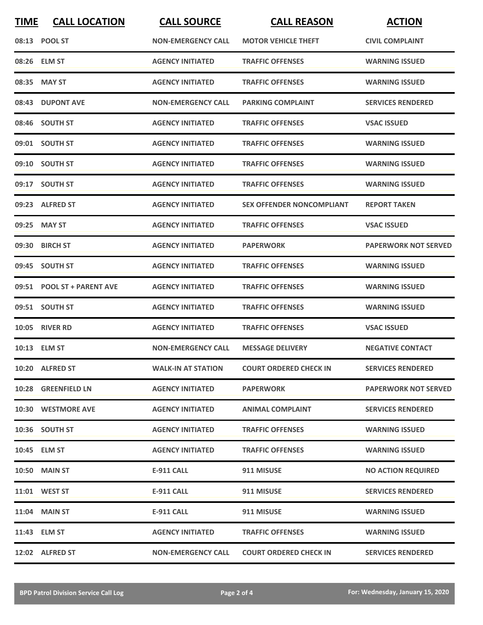| <b>TIME</b> | <b>CALL LOCATION</b>       | <b>CALL SOURCE</b>        | <b>CALL REASON</b>               | <b>ACTION</b>               |
|-------------|----------------------------|---------------------------|----------------------------------|-----------------------------|
|             | 08:13 POOL ST              | <b>NON-EMERGENCY CALL</b> | <b>MOTOR VEHICLE THEFT</b>       | <b>CIVIL COMPLAINT</b>      |
|             | 08:26 ELM ST               | <b>AGENCY INITIATED</b>   | <b>TRAFFIC OFFENSES</b>          | <b>WARNING ISSUED</b>       |
|             | 08:35 MAY ST               | <b>AGENCY INITIATED</b>   | <b>TRAFFIC OFFENSES</b>          | <b>WARNING ISSUED</b>       |
|             | 08:43 DUPONT AVE           | <b>NON-EMERGENCY CALL</b> | <b>PARKING COMPLAINT</b>         | <b>SERVICES RENDERED</b>    |
|             | 08:46 SOUTH ST             | <b>AGENCY INITIATED</b>   | <b>TRAFFIC OFFENSES</b>          | <b>VSAC ISSUED</b>          |
|             | 09:01 SOUTH ST             | <b>AGENCY INITIATED</b>   | <b>TRAFFIC OFFENSES</b>          | <b>WARNING ISSUED</b>       |
|             | 09:10 SOUTH ST             | <b>AGENCY INITIATED</b>   | <b>TRAFFIC OFFENSES</b>          | <b>WARNING ISSUED</b>       |
|             | 09:17 SOUTH ST             | <b>AGENCY INITIATED</b>   | <b>TRAFFIC OFFENSES</b>          | <b>WARNING ISSUED</b>       |
|             | 09:23 ALFRED ST            | <b>AGENCY INITIATED</b>   | <b>SEX OFFENDER NONCOMPLIANT</b> | <b>REPORT TAKEN</b>         |
|             | 09:25 MAY ST               | <b>AGENCY INITIATED</b>   | <b>TRAFFIC OFFENSES</b>          | <b>VSAC ISSUED</b>          |
|             | 09:30 BIRCH ST             | <b>AGENCY INITIATED</b>   | PAPERWORK                        | <b>PAPERWORK NOT SERVED</b> |
|             | 09:45 SOUTH ST             | <b>AGENCY INITIATED</b>   | <b>TRAFFIC OFFENSES</b>          | <b>WARNING ISSUED</b>       |
|             | 09:51 POOL ST + PARENT AVE | <b>AGENCY INITIATED</b>   | <b>TRAFFIC OFFENSES</b>          | <b>WARNING ISSUED</b>       |
|             | 09:51 SOUTH ST             | <b>AGENCY INITIATED</b>   | <b>TRAFFIC OFFENSES</b>          | <b>WARNING ISSUED</b>       |
|             | <b>10:05 RIVER RD</b>      | <b>AGENCY INITIATED</b>   | <b>TRAFFIC OFFENSES</b>          | <b>VSAC ISSUED</b>          |
|             | 10:13 ELM ST               | <b>NON-EMERGENCY CALL</b> | <b>MESSAGE DELIVERY</b>          | <b>NEGATIVE CONTACT</b>     |
|             | 10:20 ALFRED ST            | <b>WALK-IN AT STATION</b> | <b>COURT ORDERED CHECK IN</b>    | <b>SERVICES RENDERED</b>    |
|             | 10:28 GREENFIELD LN        | <b>AGENCY INITIATED</b>   | <b>PAPERWORK</b>                 | <b>PAPERWORK NOT SERVED</b> |
|             | 10:30 WESTMORE AVE         | <b>AGENCY INITIATED</b>   | <b>ANIMAL COMPLAINT</b>          | <b>SERVICES RENDERED</b>    |
|             | 10:36 SOUTH ST             | <b>AGENCY INITIATED</b>   | <b>TRAFFIC OFFENSES</b>          | <b>WARNING ISSUED</b>       |
|             | 10:45 ELM ST               | <b>AGENCY INITIATED</b>   | <b>TRAFFIC OFFENSES</b>          | <b>WARNING ISSUED</b>       |
|             | <b>10:50 MAIN ST</b>       | E-911 CALL                | 911 MISUSE                       | <b>NO ACTION REQUIRED</b>   |
|             | 11:01 WEST ST              | E-911 CALL                | 911 MISUSE                       | <b>SERVICES RENDERED</b>    |
|             | 11:04 MAIN ST              | <b>E-911 CALL</b>         | 911 MISUSE                       | <b>WARNING ISSUED</b>       |
|             | 11:43 ELM ST               | <b>AGENCY INITIATED</b>   | <b>TRAFFIC OFFENSES</b>          | <b>WARNING ISSUED</b>       |
|             | 12:02 ALFRED ST            | <b>NON-EMERGENCY CALL</b> | <b>COURT ORDERED CHECK IN</b>    | <b>SERVICES RENDERED</b>    |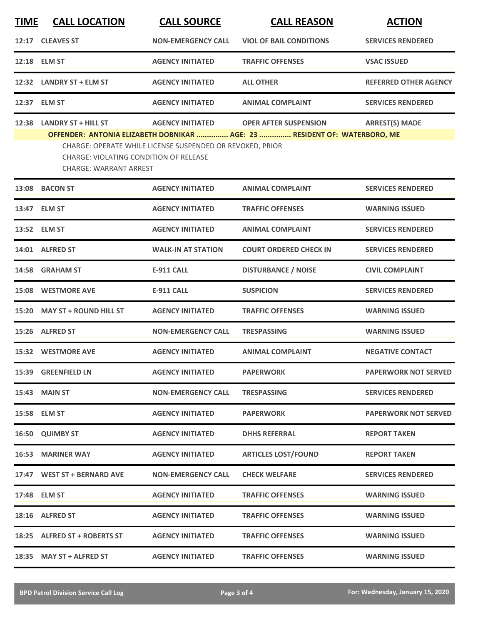| <b>TIME</b> | <b>CALL LOCATION</b>                                                                                         | <b>CALL SOURCE</b>                                                                   | <b>CALL REASON</b>                                                                                        | <b>ACTION</b>                |
|-------------|--------------------------------------------------------------------------------------------------------------|--------------------------------------------------------------------------------------|-----------------------------------------------------------------------------------------------------------|------------------------------|
| 12:17       | <b>CLEAVES ST</b>                                                                                            | <b>NON-EMERGENCY CALL</b>                                                            | <b>VIOL OF BAIL CONDITIONS</b>                                                                            | <b>SERVICES RENDERED</b>     |
|             | 12:18 ELM ST                                                                                                 | <b>AGENCY INITIATED</b>                                                              | <b>TRAFFIC OFFENSES</b>                                                                                   | <b>VSAC ISSUED</b>           |
|             | 12:32 LANDRY ST + ELM ST                                                                                     | <b>AGENCY INITIATED</b>                                                              | <b>ALL OTHER</b>                                                                                          | <b>REFERRED OTHER AGENCY</b> |
|             | 12:37 ELM ST                                                                                                 | <b>AGENCY INITIATED</b>                                                              | <b>ANIMAL COMPLAINT</b>                                                                                   | <b>SERVICES RENDERED</b>     |
| 12:38       | <b>LANDRY ST + HILL ST</b><br><b>CHARGE: VIOLATING CONDITION OF RELEASE</b><br><b>CHARGE: WARRANT ARREST</b> | <b>AGENCY INITIATED</b><br>CHARGE: OPERATE WHILE LICENSE SUSPENDED OR REVOKED, PRIOR | <b>OPER AFTER SUSPENSION</b><br>OFFENDER: ANTONIA ELIZABETH DOBNIKAR  AGE: 23  RESIDENT OF: WATERBORO, ME | <b>ARREST(S) MADE</b>        |
| 13:08       | <b>BACON ST</b>                                                                                              | <b>AGENCY INITIATED</b>                                                              | <b>ANIMAL COMPLAINT</b>                                                                                   | <b>SERVICES RENDERED</b>     |
|             | 13:47 ELM ST                                                                                                 | <b>AGENCY INITIATED</b>                                                              | <b>TRAFFIC OFFENSES</b>                                                                                   | <b>WARNING ISSUED</b>        |
|             | 13:52 ELM ST                                                                                                 | <b>AGENCY INITIATED</b>                                                              | <b>ANIMAL COMPLAINT</b>                                                                                   | <b>SERVICES RENDERED</b>     |
|             | 14:01 ALFRED ST                                                                                              | <b>WALK-IN AT STATION</b>                                                            | <b>COURT ORDERED CHECK IN</b>                                                                             | <b>SERVICES RENDERED</b>     |
| 14:58       | <b>GRAHAM ST</b>                                                                                             | <b>E-911 CALL</b>                                                                    | <b>DISTURBANCE / NOISE</b>                                                                                | <b>CIVIL COMPLAINT</b>       |
| 15:08       | <b>WESTMORE AVE</b>                                                                                          | <b>E-911 CALL</b>                                                                    | <b>SUSPICION</b>                                                                                          | <b>SERVICES RENDERED</b>     |
| 15:20       | <b>MAY ST + ROUND HILL ST</b>                                                                                | <b>AGENCY INITIATED</b>                                                              | <b>TRAFFIC OFFENSES</b>                                                                                   | <b>WARNING ISSUED</b>        |
|             | 15:26 ALFRED ST                                                                                              | <b>NON-EMERGENCY CALL</b>                                                            | <b>TRESPASSING</b>                                                                                        | <b>WARNING ISSUED</b>        |
|             | 15:32 WESTMORE AVE                                                                                           | <b>AGENCY INITIATED</b>                                                              | <b>ANIMAL COMPLAINT</b>                                                                                   | <b>NEGATIVE CONTACT</b>      |
|             | 15:39 GREENFIELD LN                                                                                          | <b>AGENCY INITIATED</b>                                                              | <b>PAPERWORK</b>                                                                                          | <b>PAPERWORK NOT SERVED</b>  |
|             | <b>15:43 MAIN ST</b>                                                                                         | <b>NON-EMERGENCY CALL</b>                                                            | <b>TRESPASSING</b>                                                                                        | <b>SERVICES RENDERED</b>     |
|             | 15:58 ELM ST                                                                                                 | <b>AGENCY INITIATED</b>                                                              | <b>PAPERWORK</b>                                                                                          | <b>PAPERWORK NOT SERVED</b>  |
|             | 16:50 QUIMBY ST                                                                                              | <b>AGENCY INITIATED</b>                                                              | <b>DHHS REFERRAL</b>                                                                                      | <b>REPORT TAKEN</b>          |
| 16:53       | <b>MARINER WAY</b>                                                                                           | <b>AGENCY INITIATED</b>                                                              | <b>ARTICLES LOST/FOUND</b>                                                                                | <b>REPORT TAKEN</b>          |
|             | 17:47 WEST ST + BERNARD AVE                                                                                  | <b>NON-EMERGENCY CALL</b>                                                            | <b>CHECK WELFARE</b>                                                                                      | <b>SERVICES RENDERED</b>     |
|             | 17:48 ELM ST                                                                                                 | <b>AGENCY INITIATED</b>                                                              | <b>TRAFFIC OFFENSES</b>                                                                                   | <b>WARNING ISSUED</b>        |
|             | 18:16 ALFRED ST                                                                                              | <b>AGENCY INITIATED</b>                                                              | <b>TRAFFIC OFFENSES</b>                                                                                   | <b>WARNING ISSUED</b>        |
|             | 18:25 ALFRED ST + ROBERTS ST                                                                                 | <b>AGENCY INITIATED</b>                                                              | <b>TRAFFIC OFFENSES</b>                                                                                   | <b>WARNING ISSUED</b>        |
|             | 18:35 MAY ST + ALFRED ST                                                                                     | <b>AGENCY INITIATED</b>                                                              | <b>TRAFFIC OFFENSES</b>                                                                                   | <b>WARNING ISSUED</b>        |